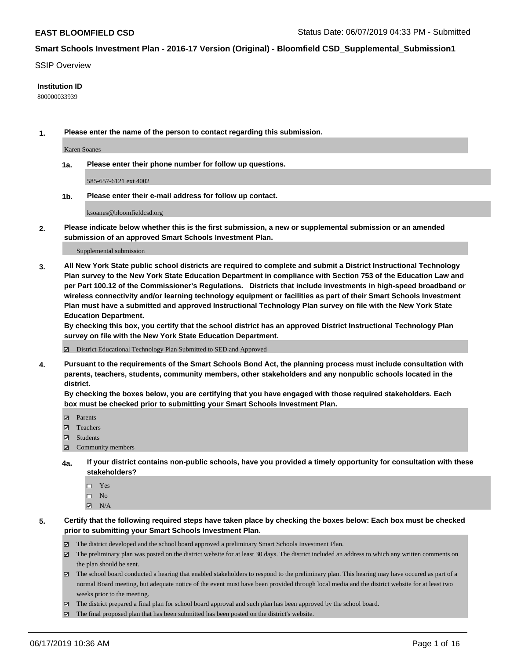#### SSIP Overview

#### **Institution ID**

800000033939

**1. Please enter the name of the person to contact regarding this submission.**

Karen Soanes

**1a. Please enter their phone number for follow up questions.**

585-657-6121 ext 4002

**1b. Please enter their e-mail address for follow up contact.**

ksoanes@bloomfieldcsd.org

**2. Please indicate below whether this is the first submission, a new or supplemental submission or an amended submission of an approved Smart Schools Investment Plan.**

#### Supplemental submission

**3. All New York State public school districts are required to complete and submit a District Instructional Technology Plan survey to the New York State Education Department in compliance with Section 753 of the Education Law and per Part 100.12 of the Commissioner's Regulations. Districts that include investments in high-speed broadband or wireless connectivity and/or learning technology equipment or facilities as part of their Smart Schools Investment Plan must have a submitted and approved Instructional Technology Plan survey on file with the New York State Education Department.** 

**By checking this box, you certify that the school district has an approved District Instructional Technology Plan survey on file with the New York State Education Department.**

District Educational Technology Plan Submitted to SED and Approved

**4. Pursuant to the requirements of the Smart Schools Bond Act, the planning process must include consultation with parents, teachers, students, community members, other stakeholders and any nonpublic schools located in the district.** 

**By checking the boxes below, you are certifying that you have engaged with those required stakeholders. Each box must be checked prior to submitting your Smart Schools Investment Plan.**

- Parents
- Teachers
- Students
- Community members
- **4a. If your district contains non-public schools, have you provided a timely opportunity for consultation with these stakeholders?**
	- □ Yes
	- $\square$  No
	- $N/A$
- **5. Certify that the following required steps have taken place by checking the boxes below: Each box must be checked prior to submitting your Smart Schools Investment Plan.**
	- The district developed and the school board approved a preliminary Smart Schools Investment Plan.
	- $\boxtimes$  The preliminary plan was posted on the district website for at least 30 days. The district included an address to which any written comments on the plan should be sent.
	- $\boxtimes$  The school board conducted a hearing that enabled stakeholders to respond to the preliminary plan. This hearing may have occured as part of a normal Board meeting, but adequate notice of the event must have been provided through local media and the district website for at least two weeks prior to the meeting.
	- The district prepared a final plan for school board approval and such plan has been approved by the school board.
	- $\boxtimes$  The final proposed plan that has been submitted has been posted on the district's website.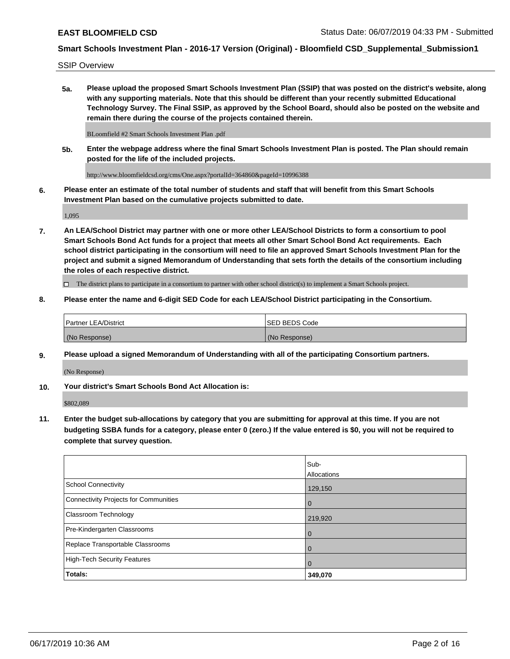SSIP Overview

**5a. Please upload the proposed Smart Schools Investment Plan (SSIP) that was posted on the district's website, along with any supporting materials. Note that this should be different than your recently submitted Educational Technology Survey. The Final SSIP, as approved by the School Board, should also be posted on the website and remain there during the course of the projects contained therein.**

BLoomfield #2 Smart Schools Investment Plan .pdf

**5b. Enter the webpage address where the final Smart Schools Investment Plan is posted. The Plan should remain posted for the life of the included projects.**

http://www.bloomfieldcsd.org/cms/One.aspx?portalId=364860&pageId=10996388

**6. Please enter an estimate of the total number of students and staff that will benefit from this Smart Schools Investment Plan based on the cumulative projects submitted to date.**

1,095

**7. An LEA/School District may partner with one or more other LEA/School Districts to form a consortium to pool Smart Schools Bond Act funds for a project that meets all other Smart School Bond Act requirements. Each school district participating in the consortium will need to file an approved Smart Schools Investment Plan for the project and submit a signed Memorandum of Understanding that sets forth the details of the consortium including the roles of each respective district.**

 $\Box$  The district plans to participate in a consortium to partner with other school district(s) to implement a Smart Schools project.

### **8. Please enter the name and 6-digit SED Code for each LEA/School District participating in the Consortium.**

| <b>Partner LEA/District</b> | <b>ISED BEDS Code</b> |
|-----------------------------|-----------------------|
| (No Response)               | (No Response)         |

#### **9. Please upload a signed Memorandum of Understanding with all of the participating Consortium partners.**

(No Response)

**10. Your district's Smart Schools Bond Act Allocation is:**

\$802,089

**11. Enter the budget sub-allocations by category that you are submitting for approval at this time. If you are not budgeting SSBA funds for a category, please enter 0 (zero.) If the value entered is \$0, you will not be required to complete that survey question.**

|                                       | Sub-           |
|---------------------------------------|----------------|
|                                       | Allocations    |
| School Connectivity                   | 129,150        |
| Connectivity Projects for Communities | $\overline{0}$ |
| <b>Classroom Technology</b>           | 219,920        |
| Pre-Kindergarten Classrooms           | $\overline{0}$ |
| Replace Transportable Classrooms      | $\Omega$       |
| High-Tech Security Features           | $\Omega$       |
| Totals:                               | 349,070        |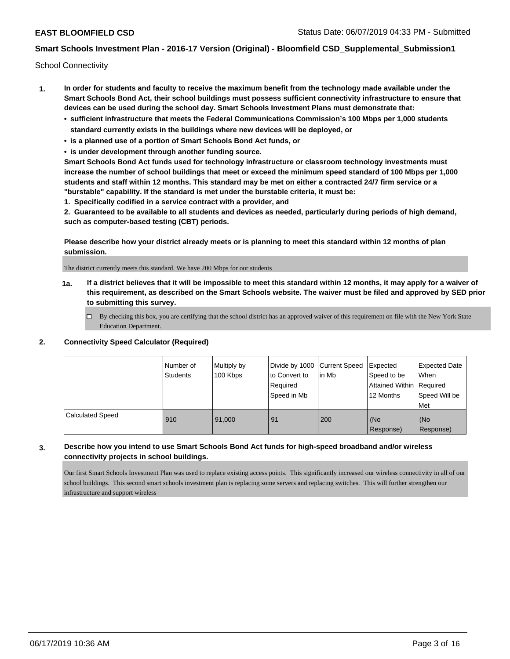School Connectivity

- **1. In order for students and faculty to receive the maximum benefit from the technology made available under the Smart Schools Bond Act, their school buildings must possess sufficient connectivity infrastructure to ensure that devices can be used during the school day. Smart Schools Investment Plans must demonstrate that:**
	- **• sufficient infrastructure that meets the Federal Communications Commission's 100 Mbps per 1,000 students standard currently exists in the buildings where new devices will be deployed, or**
	- **• is a planned use of a portion of Smart Schools Bond Act funds, or**
	- **• is under development through another funding source.**

**Smart Schools Bond Act funds used for technology infrastructure or classroom technology investments must increase the number of school buildings that meet or exceed the minimum speed standard of 100 Mbps per 1,000 students and staff within 12 months. This standard may be met on either a contracted 24/7 firm service or a "burstable" capability. If the standard is met under the burstable criteria, it must be:**

**1. Specifically codified in a service contract with a provider, and**

**2. Guaranteed to be available to all students and devices as needed, particularly during periods of high demand, such as computer-based testing (CBT) periods.**

**Please describe how your district already meets or is planning to meet this standard within 12 months of plan submission.**

The district currently meets this standard. We have 200 Mbps for our students

**1a. If a district believes that it will be impossible to meet this standard within 12 months, it may apply for a waiver of this requirement, as described on the Smart Schools website. The waiver must be filed and approved by SED prior to submitting this survey.**

 $\Box$  By checking this box, you are certifying that the school district has an approved waiver of this requirement on file with the New York State Education Department.

### **2. Connectivity Speed Calculator (Required)**

|                         | l Number of<br><b>Students</b> | Multiply by<br>100 Kbps | Divide by 1000 Current Speed<br>to Convert to<br>Required<br>Speed in Mb | lin Mb | Expected<br>Speed to be<br>Attained Within Required<br>12 Months | <b>Expected Date</b><br>When<br>Speed Will be<br><b>Met</b> |
|-------------------------|--------------------------------|-------------------------|--------------------------------------------------------------------------|--------|------------------------------------------------------------------|-------------------------------------------------------------|
| <b>Calculated Speed</b> | 910                            | 91,000                  | 91                                                                       | 200    | (No<br>Response)                                                 | (No<br>Response)                                            |

## **3. Describe how you intend to use Smart Schools Bond Act funds for high-speed broadband and/or wireless connectivity projects in school buildings.**

Our first Smart Schools Investment Plan was used to replace existing access points. This significantly increased our wireless connectivity in all of our school buildings. This second smart schools investment plan is replacing some servers and replacing switches. This will further strengthen our infrastructure and support wireless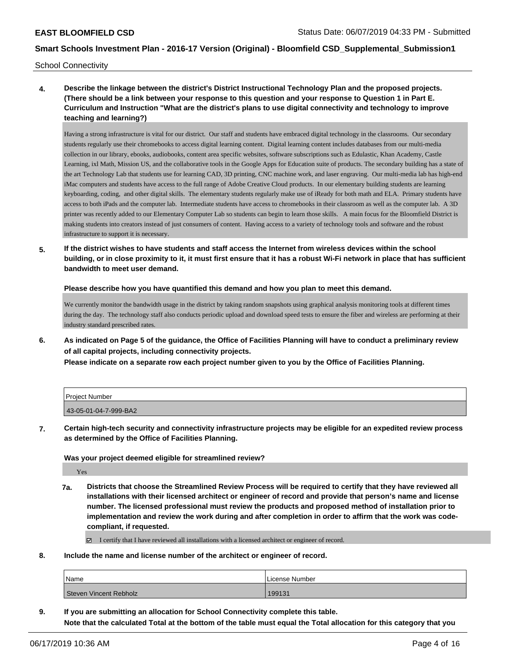School Connectivity

**4. Describe the linkage between the district's District Instructional Technology Plan and the proposed projects. (There should be a link between your response to this question and your response to Question 1 in Part E. Curriculum and Instruction "What are the district's plans to use digital connectivity and technology to improve teaching and learning?)**

Having a strong infrastructure is vital for our district. Our staff and students have embraced digital technology in the classrooms. Our secondary students regularly use their chromebooks to access digital learning content. Digital learning content includes databases from our multi-media collection in our library, ebooks, audiobooks, content area specific websites, software subscriptions such as Edulastic, Khan Academy, Castle Learning, ixl Math, Mission US, and the collaborative tools in the Google Apps for Education suite of products. The secondary building has a state of the art Technology Lab that students use for learning CAD, 3D printing, CNC machine work, and laser engraving. Our multi-media lab has high-end iMac computers and students have access to the full range of Adobe Creative Cloud products. In our elementary building students are learning keyboarding, coding, and other digital skills. The elementary students regularly make use of iReady for both math and ELA. Primary students have access to both iPads and the computer lab. Intermediate students have access to chromebooks in their classroom as well as the computer lab. A 3D printer was recently added to our Elementary Computer Lab so students can begin to learn those skills. A main focus for the Bloomfield District is making students into creators instead of just consumers of content. Having access to a variety of technology tools and software and the robust infrastructure to support it is necessary.

**5. If the district wishes to have students and staff access the Internet from wireless devices within the school building, or in close proximity to it, it must first ensure that it has a robust Wi-Fi network in place that has sufficient bandwidth to meet user demand.**

**Please describe how you have quantified this demand and how you plan to meet this demand.**

We currently monitor the bandwidth usage in the district by taking random snapshots using graphical analysis monitoring tools at different times during the day. The technology staff also conducts periodic upload and download speed tests to ensure the fiber and wireless are performing at their industry standard prescribed rates.

**6. As indicated on Page 5 of the guidance, the Office of Facilities Planning will have to conduct a preliminary review of all capital projects, including connectivity projects.**

**Please indicate on a separate row each project number given to you by the Office of Facilities Planning.**

| l Proiect Number      |  |
|-----------------------|--|
| 43-05-01-04-7-999-BA2 |  |

**7. Certain high-tech security and connectivity infrastructure projects may be eligible for an expedited review process as determined by the Office of Facilities Planning.**

**Was your project deemed eligible for streamlined review?**

Yes

**7a. Districts that choose the Streamlined Review Process will be required to certify that they have reviewed all installations with their licensed architect or engineer of record and provide that person's name and license number. The licensed professional must review the products and proposed method of installation prior to implementation and review the work during and after completion in order to affirm that the work was codecompliant, if requested.**

I certify that I have reviewed all installations with a licensed architect or engineer of record.

**8. Include the name and license number of the architect or engineer of record.**

| Name                          | i License Number |
|-------------------------------|------------------|
| <b>Steven Vincent Rebholz</b> | 199131           |

**9. If you are submitting an allocation for School Connectivity complete this table. Note that the calculated Total at the bottom of the table must equal the Total allocation for this category that you**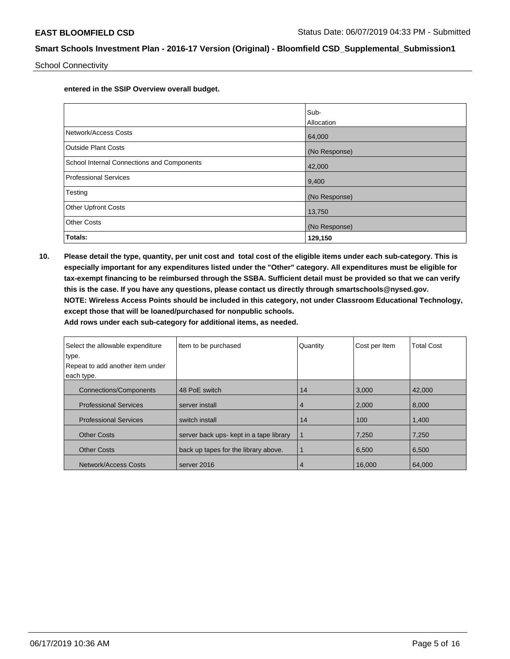School Connectivity

**entered in the SSIP Overview overall budget.** 

|                                            | Sub-          |
|--------------------------------------------|---------------|
|                                            | Allocation    |
| Network/Access Costs                       | 64,000        |
| <b>Outside Plant Costs</b>                 | (No Response) |
| School Internal Connections and Components | 42,000        |
| <b>Professional Services</b>               | 9,400         |
| Testing                                    | (No Response) |
| <b>Other Upfront Costs</b>                 | 13,750        |
| <b>Other Costs</b>                         | (No Response) |
| Totals:                                    | 129,150       |

**10. Please detail the type, quantity, per unit cost and total cost of the eligible items under each sub-category. This is especially important for any expenditures listed under the "Other" category. All expenditures must be eligible for tax-exempt financing to be reimbursed through the SSBA. Sufficient detail must be provided so that we can verify this is the case. If you have any questions, please contact us directly through smartschools@nysed.gov. NOTE: Wireless Access Points should be included in this category, not under Classroom Educational Technology, except those that will be loaned/purchased for nonpublic schools.**

| Select the allowable expenditure | Item to be purchased                    | Quantity | Cost per Item | <b>Total Cost</b> |
|----------------------------------|-----------------------------------------|----------|---------------|-------------------|
| type.                            |                                         |          |               |                   |
| Repeat to add another item under |                                         |          |               |                   |
| each type.                       |                                         |          |               |                   |
| <b>Connections/Components</b>    | 48 PoE switch                           | 14       | 3,000         | 42,000            |
| <b>Professional Services</b>     | server install                          | 4        | 2,000         | 8,000             |
| <b>Professional Services</b>     | switch install                          | 14       | 100           | 1,400             |
| <b>Other Costs</b>               | server back ups- kept in a tape library | 1        | 7,250         | 7,250             |
| <b>Other Costs</b>               | back up tapes for the library above.    |          | 6,500         | 6,500             |
| Network/Access Costs             | server 2016                             | 4        | 16.000        | 64.000            |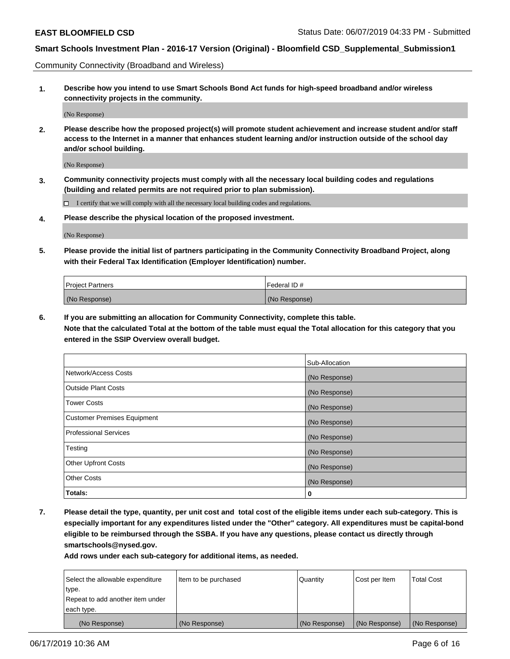Community Connectivity (Broadband and Wireless)

**1. Describe how you intend to use Smart Schools Bond Act funds for high-speed broadband and/or wireless connectivity projects in the community.**

(No Response)

**2. Please describe how the proposed project(s) will promote student achievement and increase student and/or staff access to the Internet in a manner that enhances student learning and/or instruction outside of the school day and/or school building.**

(No Response)

**3. Community connectivity projects must comply with all the necessary local building codes and regulations (building and related permits are not required prior to plan submission).**

 $\Box$  I certify that we will comply with all the necessary local building codes and regulations.

**4. Please describe the physical location of the proposed investment.**

(No Response)

**5. Please provide the initial list of partners participating in the Community Connectivity Broadband Project, along with their Federal Tax Identification (Employer Identification) number.**

| <b>Project Partners</b> | Federal ID#   |
|-------------------------|---------------|
| (No Response)           | (No Response) |

**6. If you are submitting an allocation for Community Connectivity, complete this table.**

**Note that the calculated Total at the bottom of the table must equal the Total allocation for this category that you entered in the SSIP Overview overall budget.**

|                                    | Sub-Allocation |
|------------------------------------|----------------|
| Network/Access Costs               | (No Response)  |
| <b>Outside Plant Costs</b>         | (No Response)  |
| <b>Tower Costs</b>                 | (No Response)  |
| <b>Customer Premises Equipment</b> | (No Response)  |
| <b>Professional Services</b>       | (No Response)  |
| Testing                            | (No Response)  |
| <b>Other Upfront Costs</b>         | (No Response)  |
| <b>Other Costs</b>                 | (No Response)  |
| Totals:                            | 0              |

**7. Please detail the type, quantity, per unit cost and total cost of the eligible items under each sub-category. This is especially important for any expenditures listed under the "Other" category. All expenditures must be capital-bond eligible to be reimbursed through the SSBA. If you have any questions, please contact us directly through smartschools@nysed.gov.**

| Select the allowable expenditure<br>type.      | Item to be purchased | Quantity      | Cost per Item | <b>Total Cost</b> |
|------------------------------------------------|----------------------|---------------|---------------|-------------------|
| Repeat to add another item under<br>each type. |                      |               |               |                   |
| (No Response)                                  | (No Response)        | (No Response) | (No Response) | (No Response)     |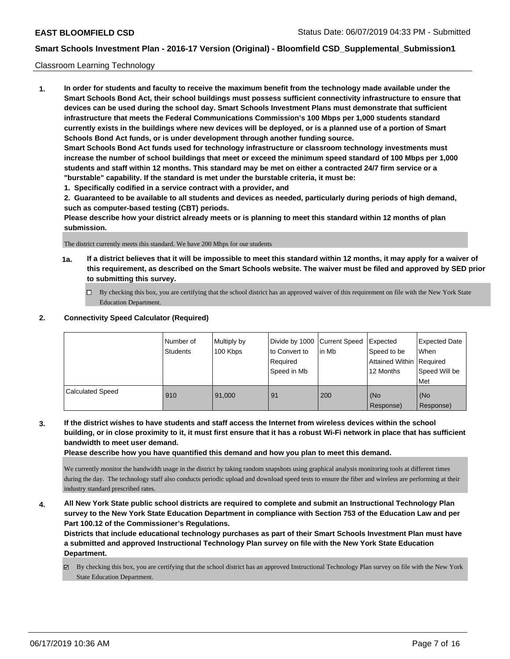### Classroom Learning Technology

**1. In order for students and faculty to receive the maximum benefit from the technology made available under the Smart Schools Bond Act, their school buildings must possess sufficient connectivity infrastructure to ensure that devices can be used during the school day. Smart Schools Investment Plans must demonstrate that sufficient infrastructure that meets the Federal Communications Commission's 100 Mbps per 1,000 students standard currently exists in the buildings where new devices will be deployed, or is a planned use of a portion of Smart Schools Bond Act funds, or is under development through another funding source. Smart Schools Bond Act funds used for technology infrastructure or classroom technology investments must increase the number of school buildings that meet or exceed the minimum speed standard of 100 Mbps per 1,000 students and staff within 12 months. This standard may be met on either a contracted 24/7 firm service or a "burstable" capability. If the standard is met under the burstable criteria, it must be:**

**1. Specifically codified in a service contract with a provider, and**

**2. Guaranteed to be available to all students and devices as needed, particularly during periods of high demand, such as computer-based testing (CBT) periods.**

**Please describe how your district already meets or is planning to meet this standard within 12 months of plan submission.**

The district currently meets this standard. We have 200 Mbps for our students

- **1a. If a district believes that it will be impossible to meet this standard within 12 months, it may apply for a waiver of this requirement, as described on the Smart Schools website. The waiver must be filed and approved by SED prior to submitting this survey.**
	- By checking this box, you are certifying that the school district has an approved waiver of this requirement on file with the New York State Education Department.

### **2. Connectivity Speed Calculator (Required)**

|                         | I Number of<br><b>Students</b> | Multiply by<br>100 Kbps | to Convert to<br>Required<br>Speed in Mb | Divide by 1000 Current Speed<br>lin Mb | Expected<br>Speed to be<br>Attained Within   Required<br>12 Months | Expected Date<br>When<br>Speed Will be<br><b>Met</b> |
|-------------------------|--------------------------------|-------------------------|------------------------------------------|----------------------------------------|--------------------------------------------------------------------|------------------------------------------------------|
| <b>Calculated Speed</b> | 910                            | 91.000                  | 91                                       | 200                                    | (No<br>Response)                                                   | (No<br>Response)                                     |

**3. If the district wishes to have students and staff access the Internet from wireless devices within the school building, or in close proximity to it, it must first ensure that it has a robust Wi-Fi network in place that has sufficient bandwidth to meet user demand.**

**Please describe how you have quantified this demand and how you plan to meet this demand.**

We currently monitor the bandwidth usage in the district by taking random snapshots using graphical analysis monitoring tools at different times during the day. The technology staff also conducts periodic upload and download speed tests to ensure the fiber and wireless are performing at their industry standard prescribed rates.

**4. All New York State public school districts are required to complete and submit an Instructional Technology Plan survey to the New York State Education Department in compliance with Section 753 of the Education Law and per Part 100.12 of the Commissioner's Regulations.**

**Districts that include educational technology purchases as part of their Smart Schools Investment Plan must have a submitted and approved Instructional Technology Plan survey on file with the New York State Education Department.**

By checking this box, you are certifying that the school district has an approved Instructional Technology Plan survey on file with the New York State Education Department.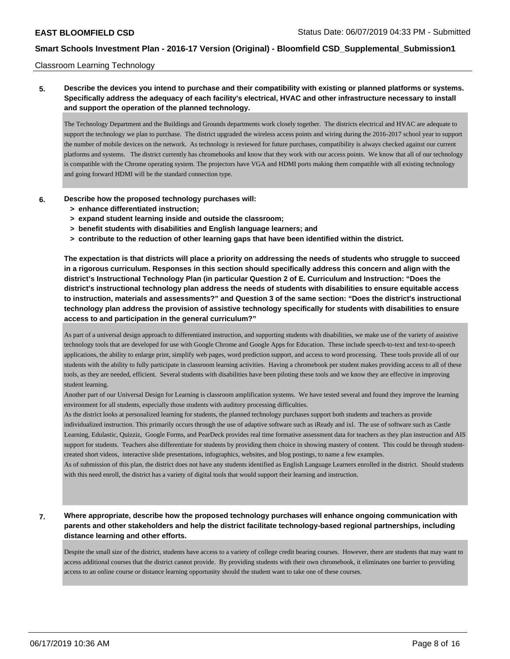#### Classroom Learning Technology

## **5. Describe the devices you intend to purchase and their compatibility with existing or planned platforms or systems. Specifically address the adequacy of each facility's electrical, HVAC and other infrastructure necessary to install and support the operation of the planned technology.**

The Technology Department and the Buildings and Grounds departments work closely together. The districts electrical and HVAC are adequate to support the technology we plan to purchase. The district upgraded the wireless access points and wiring during the 2016-2017 school year to support the number of mobile devices on the network. As technology is reviewed for future purchases, compatibility is always checked against our current platforms and systems. The district currently has chromebooks and know that they work with our access points. We know that all of our technology is compatible with the Chrome operating system. The projectors have VGA and HDMI ports making them compatible with all existing technology and going forward HDMI will be the standard connection type.

#### **6. Describe how the proposed technology purchases will:**

- **> enhance differentiated instruction;**
- **> expand student learning inside and outside the classroom;**
- **> benefit students with disabilities and English language learners; and**
- **> contribute to the reduction of other learning gaps that have been identified within the district.**

**The expectation is that districts will place a priority on addressing the needs of students who struggle to succeed in a rigorous curriculum. Responses in this section should specifically address this concern and align with the district's Instructional Technology Plan (in particular Question 2 of E. Curriculum and Instruction: "Does the district's instructional technology plan address the needs of students with disabilities to ensure equitable access to instruction, materials and assessments?" and Question 3 of the same section: "Does the district's instructional technology plan address the provision of assistive technology specifically for students with disabilities to ensure access to and participation in the general curriculum?"**

As part of a universal design approach to differentiated instruction, and supporting students with disabilities, we make use of the variety of assistive technology tools that are developed for use with Google Chrome and Google Apps for Education. These include speech-to-text and text-to-speech applications, the ability to enlarge print, simplify web pages, word prediction support, and access to word processing. These tools provide all of our students with the ability to fully participate in classroom learning activities. Having a chromebook per student makes providing access to all of these tools, as they are needed, efficient. Several students with disabilities have been piloting these tools and we know they are effective in improving student learning.

Another part of our Universal Design for Learning is classroom amplification systems. We have tested several and found they improve the learning environment for all students, especially those students with auditory processing difficulties.

As the district looks at personalized learning for students, the planned technology purchases support both students and teachers as provide individualized instruction. This primarily occurs through the use of adaptive software such as iReady and ixl. The use of software such as Castle Learning, Edulastic, Quizziz, Google Forms, and PearDeck provides real time formative assessment data for teachers as they plan instruction and AIS support for students. Teachers also differentiate for students by providing them choice in showing mastery of content. This could be through studentcreated short videos, interactive slide presentations, infographics, websites, and blog postings, to name a few examples.

As of submission of this plan, the district does not have any students identified as English Language Learners enrolled in the district. Should students with this need enroll, the district has a variety of digital tools that would support their learning and instruction.

## **7. Where appropriate, describe how the proposed technology purchases will enhance ongoing communication with parents and other stakeholders and help the district facilitate technology-based regional partnerships, including distance learning and other efforts.**

Despite the small size of the district, students have access to a variety of college credit bearing courses. However, there are students that may want to access additional courses that the district cannot provide. By providing students with their own chromebook, it eliminates one barrier to providing access to an online course or distance learning opportunity should the student want to take one of these courses.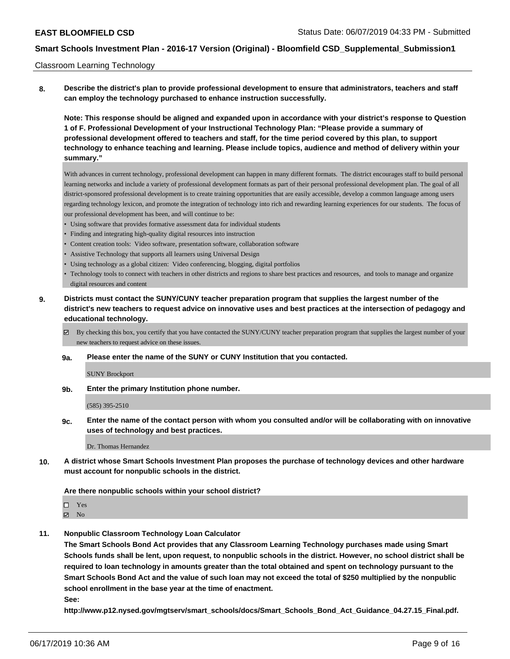#### Classroom Learning Technology

**8. Describe the district's plan to provide professional development to ensure that administrators, teachers and staff can employ the technology purchased to enhance instruction successfully.**

**Note: This response should be aligned and expanded upon in accordance with your district's response to Question 1 of F. Professional Development of your Instructional Technology Plan: "Please provide a summary of professional development offered to teachers and staff, for the time period covered by this plan, to support technology to enhance teaching and learning. Please include topics, audience and method of delivery within your summary."**

With advances in current technology, professional development can happen in many different formats. The district encourages staff to build personal learning networks and include a variety of professional development formats as part of their personal professional development plan. The goal of all district-sponsored professional development is to create training opportunities that are easily accessible, develop a common language among users regarding technology lexicon, and promote the integration of technology into rich and rewarding learning experiences for our students. The focus of our professional development has been, and will continue to be:

- Using software that provides formative assessment data for individual students
- Finding and integrating high-quality digital resources into instruction
- Content creation tools: Video software, presentation software, collaboration software
- Assistive Technology that supports all learners using Universal Design
- Using technology as a global citizen: Video conferencing, blogging, digital portfolios
- Technology tools to connect with teachers in other districts and regions to share best practices and resources, and tools to manage and organize digital resources and content
- **9. Districts must contact the SUNY/CUNY teacher preparation program that supplies the largest number of the district's new teachers to request advice on innovative uses and best practices at the intersection of pedagogy and educational technology.**
	- By checking this box, you certify that you have contacted the SUNY/CUNY teacher preparation program that supplies the largest number of your new teachers to request advice on these issues.

#### **9a. Please enter the name of the SUNY or CUNY Institution that you contacted.**

SUNY Brockport

**9b. Enter the primary Institution phone number.**

(585) 395-2510

**9c. Enter the name of the contact person with whom you consulted and/or will be collaborating with on innovative uses of technology and best practices.**

Dr. Thomas Hernandez

**10. A district whose Smart Schools Investment Plan proposes the purchase of technology devices and other hardware must account for nonpublic schools in the district.**

#### **Are there nonpublic schools within your school district?**

□ Yes  $\boxtimes$  No

**11. Nonpublic Classroom Technology Loan Calculator**

**The Smart Schools Bond Act provides that any Classroom Learning Technology purchases made using Smart Schools funds shall be lent, upon request, to nonpublic schools in the district. However, no school district shall be required to loan technology in amounts greater than the total obtained and spent on technology pursuant to the Smart Schools Bond Act and the value of such loan may not exceed the total of \$250 multiplied by the nonpublic school enrollment in the base year at the time of enactment.**

**See:**

**http://www.p12.nysed.gov/mgtserv/smart\_schools/docs/Smart\_Schools\_Bond\_Act\_Guidance\_04.27.15\_Final.pdf.**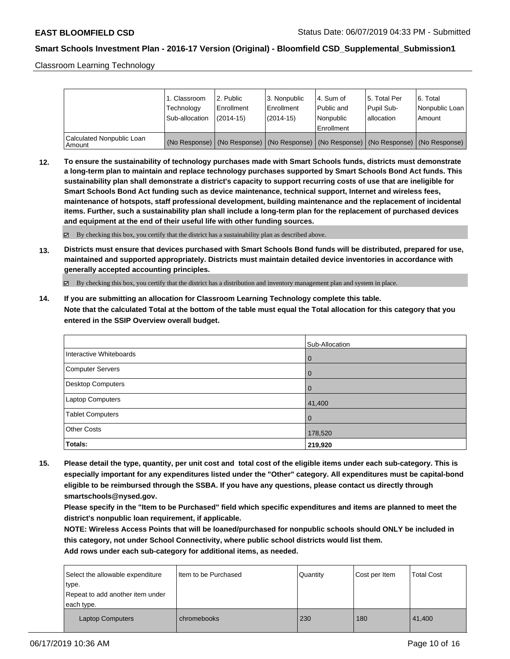Classroom Learning Technology

|                                     | 1. Classroom<br>Technology<br>Sub-allocation | l 2. Public<br>Enrollment<br>$(2014 - 15)$ | 3. Nonpublic<br>Enrollment<br>$(2014-15)$ | l 4. Sum of<br>l Public and<br>l Nonpublic                                                    | 15. Total Per<br>Pupil Sub-<br>lallocation | 6. Total<br>Nonpublic Loan  <br>Amount |
|-------------------------------------|----------------------------------------------|--------------------------------------------|-------------------------------------------|-----------------------------------------------------------------------------------------------|--------------------------------------------|----------------------------------------|
|                                     |                                              |                                            |                                           | Enrollment                                                                                    |                                            |                                        |
| Calculated Nonpublic Loan<br>Amount |                                              |                                            |                                           | (No Response)   (No Response)   (No Response)   (No Response)   (No Response)   (No Response) |                                            |                                        |

**12. To ensure the sustainability of technology purchases made with Smart Schools funds, districts must demonstrate a long-term plan to maintain and replace technology purchases supported by Smart Schools Bond Act funds. This sustainability plan shall demonstrate a district's capacity to support recurring costs of use that are ineligible for Smart Schools Bond Act funding such as device maintenance, technical support, Internet and wireless fees, maintenance of hotspots, staff professional development, building maintenance and the replacement of incidental items. Further, such a sustainability plan shall include a long-term plan for the replacement of purchased devices and equipment at the end of their useful life with other funding sources.**

 $\boxtimes$  By checking this box, you certify that the district has a sustainability plan as described above.

**13. Districts must ensure that devices purchased with Smart Schools Bond funds will be distributed, prepared for use, maintained and supported appropriately. Districts must maintain detailed device inventories in accordance with generally accepted accounting principles.**

By checking this box, you certify that the district has a distribution and inventory management plan and system in place.

**14. If you are submitting an allocation for Classroom Learning Technology complete this table. Note that the calculated Total at the bottom of the table must equal the Total allocation for this category that you entered in the SSIP Overview overall budget.**

|                         | Sub-Allocation |
|-------------------------|----------------|
| Interactive Whiteboards | l 0            |
| Computer Servers        | l 0            |
| Desktop Computers       | l O            |
| <b>Laptop Computers</b> | 41,400         |
| <b>Tablet Computers</b> | l O            |
| <b>Other Costs</b>      | 178,520        |
| Totals:                 | 219,920        |

**15. Please detail the type, quantity, per unit cost and total cost of the eligible items under each sub-category. This is especially important for any expenditures listed under the "Other" category. All expenditures must be capital-bond eligible to be reimbursed through the SSBA. If you have any questions, please contact us directly through smartschools@nysed.gov.**

**Please specify in the "Item to be Purchased" field which specific expenditures and items are planned to meet the district's nonpublic loan requirement, if applicable.**

**NOTE: Wireless Access Points that will be loaned/purchased for nonpublic schools should ONLY be included in this category, not under School Connectivity, where public school districts would list them.**

| Select the allowable expenditure<br>type.<br>Repeat to add another item under | I Item to be Purchased | Quantity | Cost per Item | <b>Total Cost</b> |
|-------------------------------------------------------------------------------|------------------------|----------|---------------|-------------------|
| each type.<br><b>Laptop Computers</b>                                         | chromebooks            | 230      | 180           | 41,400            |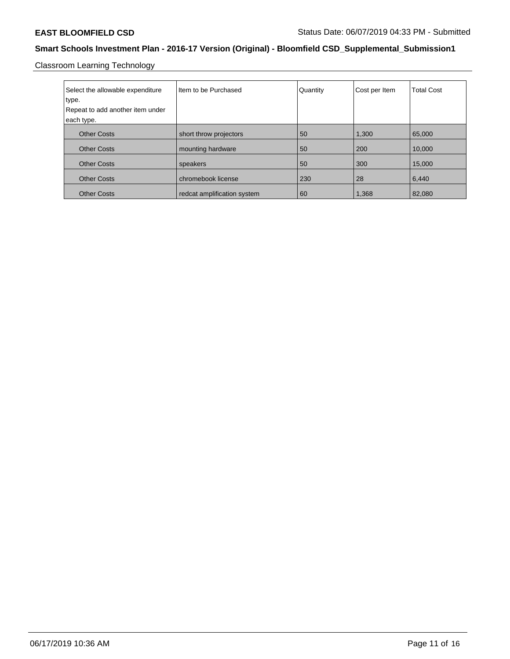Classroom Learning Technology

| Select the allowable expenditure<br>type.<br>Repeat to add another item under<br>each type. | I Item to be Purchased      | Quantity | Cost per Item | <b>Total Cost</b> |
|---------------------------------------------------------------------------------------------|-----------------------------|----------|---------------|-------------------|
| <b>Other Costs</b>                                                                          | short throw projectors      | 50       | 1,300         | 65,000            |
| <b>Other Costs</b>                                                                          | mounting hardware           | 50       | 200           | 10,000            |
| <b>Other Costs</b>                                                                          | speakers                    | 50       | 300           | 15,000            |
| <b>Other Costs</b>                                                                          | chromebook license          | 230      | 28            | 6,440             |
| <b>Other Costs</b>                                                                          | redcat amplification system | 60       | 1,368         | 82.080            |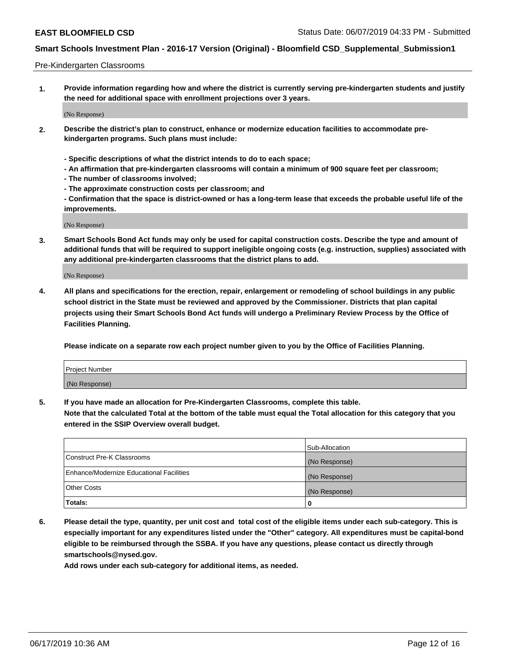#### Pre-Kindergarten Classrooms

**1. Provide information regarding how and where the district is currently serving pre-kindergarten students and justify the need for additional space with enrollment projections over 3 years.**

(No Response)

- **2. Describe the district's plan to construct, enhance or modernize education facilities to accommodate prekindergarten programs. Such plans must include:**
	- **Specific descriptions of what the district intends to do to each space;**
	- **An affirmation that pre-kindergarten classrooms will contain a minimum of 900 square feet per classroom;**
	- **The number of classrooms involved;**
	- **The approximate construction costs per classroom; and**
	- **Confirmation that the space is district-owned or has a long-term lease that exceeds the probable useful life of the improvements.**

(No Response)

**3. Smart Schools Bond Act funds may only be used for capital construction costs. Describe the type and amount of additional funds that will be required to support ineligible ongoing costs (e.g. instruction, supplies) associated with any additional pre-kindergarten classrooms that the district plans to add.**

(No Response)

**4. All plans and specifications for the erection, repair, enlargement or remodeling of school buildings in any public school district in the State must be reviewed and approved by the Commissioner. Districts that plan capital projects using their Smart Schools Bond Act funds will undergo a Preliminary Review Process by the Office of Facilities Planning.**

**Please indicate on a separate row each project number given to you by the Office of Facilities Planning.**

| Project Number |  |
|----------------|--|
| (No Response)  |  |
|                |  |

**5. If you have made an allocation for Pre-Kindergarten Classrooms, complete this table.**

**Note that the calculated Total at the bottom of the table must equal the Total allocation for this category that you entered in the SSIP Overview overall budget.**

|                                          | Sub-Allocation |
|------------------------------------------|----------------|
| Construct Pre-K Classrooms               | (No Response)  |
| Enhance/Modernize Educational Facilities | (No Response)  |
| <b>Other Costs</b>                       | (No Response)  |
| Totals:                                  | 0              |

**6. Please detail the type, quantity, per unit cost and total cost of the eligible items under each sub-category. This is especially important for any expenditures listed under the "Other" category. All expenditures must be capital-bond eligible to be reimbursed through the SSBA. If you have any questions, please contact us directly through smartschools@nysed.gov.**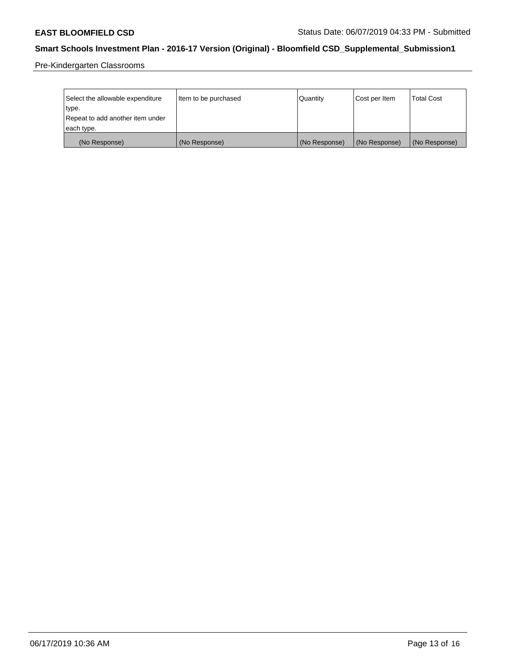Pre-Kindergarten Classrooms

| Select the allowable expenditure<br>type.      | Item to be purchased | Quantity      | Cost per Item | <b>Total Cost</b> |
|------------------------------------------------|----------------------|---------------|---------------|-------------------|
| Repeat to add another item under<br>each type. |                      |               |               |                   |
| (No Response)                                  | (No Response)        | (No Response) | (No Response) | (No Response)     |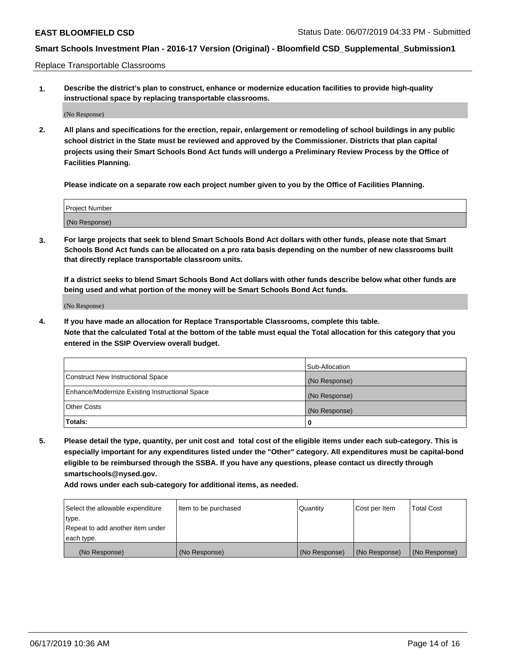Replace Transportable Classrooms

**1. Describe the district's plan to construct, enhance or modernize education facilities to provide high-quality instructional space by replacing transportable classrooms.**

(No Response)

**2. All plans and specifications for the erection, repair, enlargement or remodeling of school buildings in any public school district in the State must be reviewed and approved by the Commissioner. Districts that plan capital projects using their Smart Schools Bond Act funds will undergo a Preliminary Review Process by the Office of Facilities Planning.**

**Please indicate on a separate row each project number given to you by the Office of Facilities Planning.**

| Project Number |  |
|----------------|--|
|                |  |
|                |  |
|                |  |
|                |  |
| (No Response)  |  |
|                |  |
|                |  |
|                |  |

**3. For large projects that seek to blend Smart Schools Bond Act dollars with other funds, please note that Smart Schools Bond Act funds can be allocated on a pro rata basis depending on the number of new classrooms built that directly replace transportable classroom units.**

**If a district seeks to blend Smart Schools Bond Act dollars with other funds describe below what other funds are being used and what portion of the money will be Smart Schools Bond Act funds.**

(No Response)

**4. If you have made an allocation for Replace Transportable Classrooms, complete this table. Note that the calculated Total at the bottom of the table must equal the Total allocation for this category that you entered in the SSIP Overview overall budget.**

|                                                | Sub-Allocation |
|------------------------------------------------|----------------|
| Construct New Instructional Space              | (No Response)  |
| Enhance/Modernize Existing Instructional Space | (No Response)  |
| <b>Other Costs</b>                             | (No Response)  |
| Totals:                                        | 0              |

**5. Please detail the type, quantity, per unit cost and total cost of the eligible items under each sub-category. This is especially important for any expenditures listed under the "Other" category. All expenditures must be capital-bond eligible to be reimbursed through the SSBA. If you have any questions, please contact us directly through smartschools@nysed.gov.**

| Select the allowable expenditure | Item to be purchased | l Quantitv    | Cost per Item | <b>Total Cost</b> |
|----------------------------------|----------------------|---------------|---------------|-------------------|
| type.                            |                      |               |               |                   |
| Repeat to add another item under |                      |               |               |                   |
| each type.                       |                      |               |               |                   |
| (No Response)                    | (No Response)        | (No Response) | (No Response) | (No Response)     |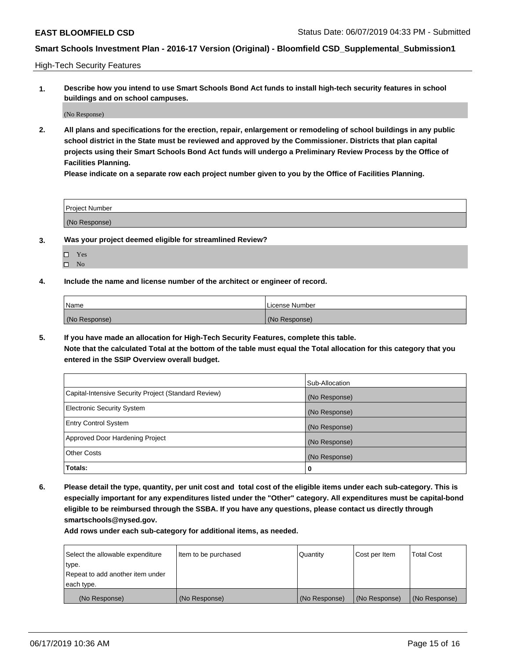High-Tech Security Features

**1. Describe how you intend to use Smart Schools Bond Act funds to install high-tech security features in school buildings and on school campuses.**

(No Response)

**2. All plans and specifications for the erection, repair, enlargement or remodeling of school buildings in any public school district in the State must be reviewed and approved by the Commissioner. Districts that plan capital projects using their Smart Schools Bond Act funds will undergo a Preliminary Review Process by the Office of Facilities Planning.** 

**Please indicate on a separate row each project number given to you by the Office of Facilities Planning.**

| <b>Project Number</b> |  |
|-----------------------|--|
| (No Response)         |  |

- **3. Was your project deemed eligible for streamlined Review?**
	- Yes
	- $\square$  No
- **4. Include the name and license number of the architect or engineer of record.**

| <b>Name</b>   | License Number |
|---------------|----------------|
| (No Response) | (No Response)  |

**5. If you have made an allocation for High-Tech Security Features, complete this table.**

**Note that the calculated Total at the bottom of the table must equal the Total allocation for this category that you entered in the SSIP Overview overall budget.**

|                                                      | Sub-Allocation |
|------------------------------------------------------|----------------|
| Capital-Intensive Security Project (Standard Review) | (No Response)  |
| <b>Electronic Security System</b>                    | (No Response)  |
| <b>Entry Control System</b>                          | (No Response)  |
| Approved Door Hardening Project                      | (No Response)  |
| <b>Other Costs</b>                                   | (No Response)  |
| Totals:                                              | 0              |

**6. Please detail the type, quantity, per unit cost and total cost of the eligible items under each sub-category. This is especially important for any expenditures listed under the "Other" category. All expenditures must be capital-bond eligible to be reimbursed through the SSBA. If you have any questions, please contact us directly through smartschools@nysed.gov.**

| Select the allowable expenditure | Item to be purchased | l Quantitv    | Cost per Item | <b>Total Cost</b> |
|----------------------------------|----------------------|---------------|---------------|-------------------|
| type.                            |                      |               |               |                   |
| Repeat to add another item under |                      |               |               |                   |
| each type.                       |                      |               |               |                   |
| (No Response)                    | (No Response)        | (No Response) | (No Response) | (No Response)     |